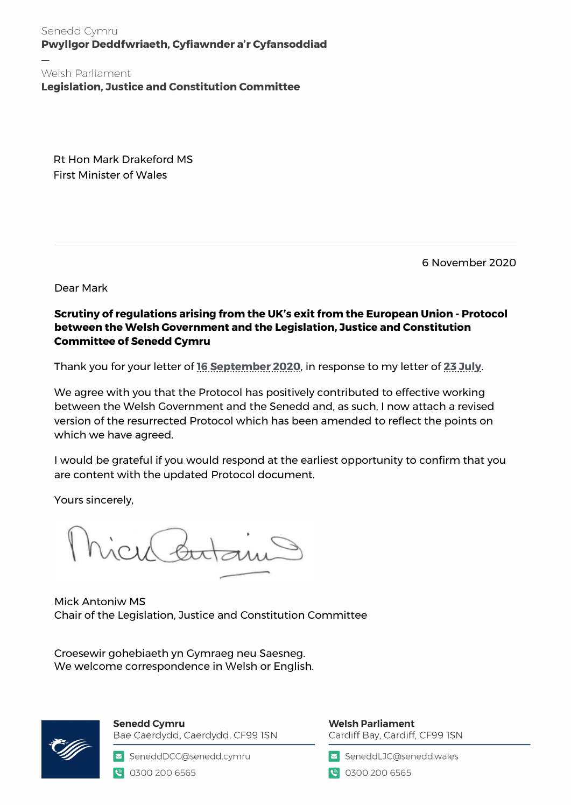Senedd Cymru Pwyllgor Deddfwriaeth, Cyfiawnder a'r Cyfansoddiad

Welsh Parliament **Legislation, Justice and Constitution Committee** 

Rt Hon Mark Drakeford MS First Minister of Wales

6 November 2020

Dear Mark

### **Scrutiny of regulations arising from the UK's exit from the European Union - Protocol between the Welsh Government and the Legislation, Justice and Constitution Committee of Senedd Cymru**

Thank you for your letter of **[16 September 2020](https://business.senedd.wales/documents/s104805/Letter%20from%20the%20First%20Minister%20Scrutiny%20of%20regulations%20arising%20from%20the%20UKs%20exit%20from%20the%20European.pdf)**, in response to my letter of **[23 July](https://business.senedd.wales/documents/s104803/Letter%20to%20the%20First%20Minister%20Scrutiny%20of%20regulations%20arising%20from%20the%20UKs%20exit%20from%20the%20European%20U.pdf)**.

We agree with you that the Protocol has positively contributed to effective working between the Welsh Government and the Senedd and, as such, I now attach a revised version of the resurrected Protocol which has been amended to reflect the points on which we have agreed.

I would be grateful if you would respond at the earliest opportunity to confirm that you are content with the updated Protocol document.

Yours sincerely,

Mick Antoniw MS Chair of the Legislation, Justice and Constitution Committee

Croesewir gohebiaeth yn Gymraeg neu Saesneg. We welcome correspondence in Welsh or English.



**Senedd Cymru** Bae Caerdydd, Caerdydd, CF99 ISN

SeneddDCC@senedd.cymru 0300 200 6565

**Welsh Parliament** Cardiff Bay, Cardiff, CF99 ISN

SeneddLJC@senedd.wales

● 0300 200 6565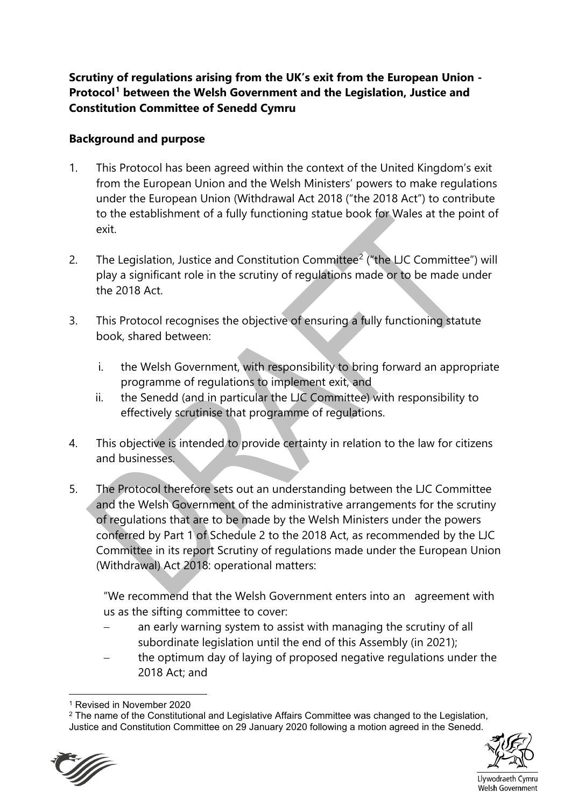**Scrutiny of regulations arising from the UK's exit from the European Union - Protocol[1](#page-1-0) between the Welsh Government and the Legislation, Justice and Constitution Committee of Senedd Cymru**

## **Background and purpose**

- 1. This Protocol has been agreed within the context of the United Kingdom's exit from the European Union and the Welsh Ministers' powers to make regulations under the European Union (Withdrawal Act 2018 ("the 2018 Act") to contribute to the establishment of a fully functioning statue book for Wales at the point of exit.
- [2](#page-1-1). The Legislation, Justice and Constitution Committee<sup>2</sup> ("the LJC Committee") will play a significant role in the scrutiny of regulations made or to be made under the 2018 Act.
- 3. This Protocol recognises the objective of ensuring a fully functioning statute book, shared between:
	- i. the Welsh Government, with responsibility to bring forward an appropriate programme of regulations to implement exit, and
	- ii. the Senedd (and in particular the LJC Committee) with responsibility to effectively scrutinise that programme of regulations.
- 4. This objective is intended to provide certainty in relation to the law for citizens and businesses.
- 5. The Protocol therefore sets out an understanding between the LJC Committee and the Welsh Government of the administrative arrangements for the scrutiny of regulations that are to be made by the Welsh Ministers under the powers conferred by Part 1 of Schedule 2 to the 2018 Act, as recommended by the LJC Committee in its report Scrutiny of regulations made under the European Union (Withdrawal) Act 2018: operational matters:

"We recommend that the Welsh Government enters into an agreement with us as the sifting committee to cover:

- an early warning system to assist with managing the scrutiny of all subordinate legislation until the end of this Assembly (in 2021);
- the optimum day of laying of proposed negative regulations under the 2018 Act; and

<span id="page-1-1"></span><span id="page-1-0"></span><sup>&</sup>lt;sup>2</sup> The name of the Constitutional and Legislative Affairs Committee was changed to the Legislation, Justice and Constitution Committee on 29 January 2020 following a motion agreed in the Senedd.





Llywodraeth Cymru Welsh Government

<sup>1</sup> Revised in November 2020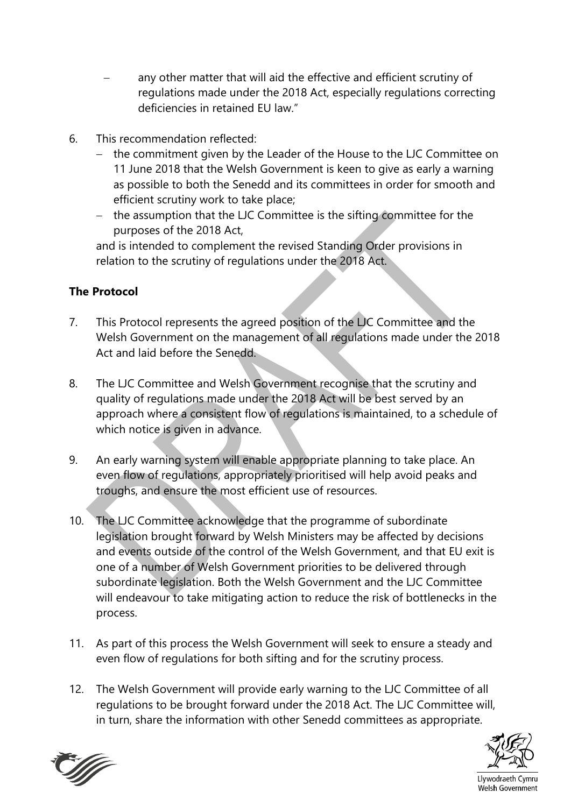- any other matter that will aid the effective and efficient scrutiny of regulations made under the 2018 Act, especially regulations correcting deficiencies in retained EU law."
- 6. This recommendation reflected:
	- − the commitment given by the Leader of the House to the LJC Committee on 11 June 2018 that the Welsh Government is keen to give as early a warning as possible to both the Senedd and its committees in order for smooth and efficient scrutiny work to take place;
	- − the assumption that the LJC Committee is the sifting committee for the purposes of the 2018 Act,

and is intended to complement the revised Standing Order provisions in relation to the scrutiny of regulations under the 2018 Act.

# **The Protocol**

- 7. This Protocol represents the agreed position of the LJC Committee and the Welsh Government on the management of all regulations made under the 2018 Act and laid before the Senedd.
- 8. The LJC Committee and Welsh Government recognise that the scrutiny and quality of regulations made under the 2018 Act will be best served by an approach where a consistent flow of regulations is maintained, to a schedule of which notice is given in advance.
- 9. An early warning system will enable appropriate planning to take place. An even flow of regulations, appropriately prioritised will help avoid peaks and troughs, and ensure the most efficient use of resources.
- 10. The LJC Committee acknowledge that the programme of subordinate legislation brought forward by Welsh Ministers may be affected by decisions and events outside of the control of the Welsh Government, and that EU exit is one of a number of Welsh Government priorities to be delivered through subordinate legislation. Both the Welsh Government and the LJC Committee will endeavour to take mitigating action to reduce the risk of bottlenecks in the process.
- 11. As part of this process the Welsh Government will seek to ensure a steady and even flow of regulations for both sifting and for the scrutiny process.
- 12. The Welsh Government will provide early warning to the LJC Committee of all regulations to be brought forward under the 2018 Act. The LJC Committee will, in turn, share the information with other Senedd committees as appropriate.





Llywodraeth Cymru Welsh Government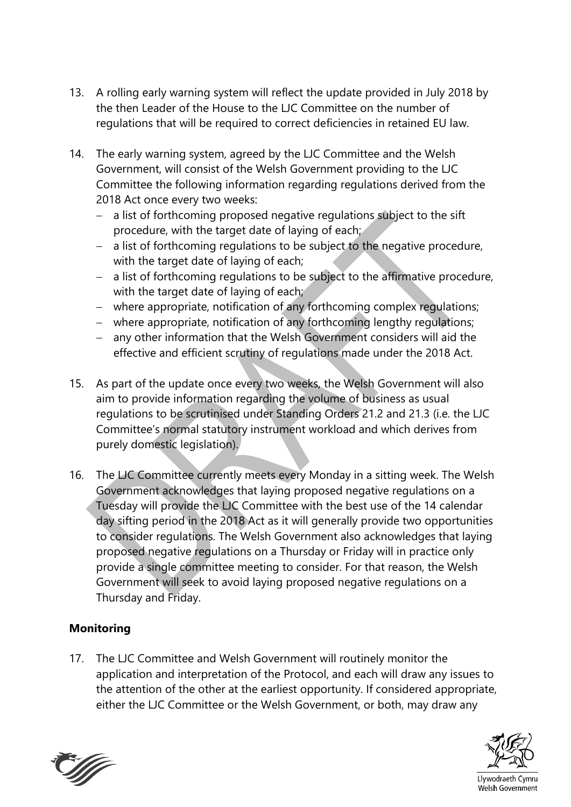- 13. A rolling early warning system will reflect the update provided in July 2018 by the then Leader of the House to the LJC Committee on the number of regulations that will be required to correct deficiencies in retained EU law.
- 14. The early warning system, agreed by the LJC Committee and the Welsh Government, will consist of the Welsh Government providing to the LJC Committee the following information regarding regulations derived from the 2018 Act once every two weeks:
	- a list of forthcoming proposed negative regulations subject to the sift procedure, with the target date of laying of each;
	- − a list of forthcoming regulations to be subject to the negative procedure, with the target date of laying of each;
	- − a list of forthcoming regulations to be subject to the affirmative procedure, with the target date of laying of each;
	- − where appropriate, notification of any forthcoming complex regulations;
	- − where appropriate, notification of any forthcoming lengthy regulations;
	- − any other information that the Welsh Government considers will aid the effective and efficient scrutiny of regulations made under the 2018 Act.
- 15. As part of the update once every two weeks, the Welsh Government will also aim to provide information regarding the volume of business as usual regulations to be scrutinised under Standing Orders 21.2 and 21.3 (i.e. the LJC Committee's normal statutory instrument workload and which derives from purely domestic legislation).
- 16. The LJC Committee currently meets every Monday in a sitting week. The Welsh Government acknowledges that laying proposed negative regulations on a Tuesday will provide the LJC Committee with the best use of the 14 calendar day sifting period in the 2018 Act as it will generally provide two opportunities to consider regulations. The Welsh Government also acknowledges that laying proposed negative regulations on a Thursday or Friday will in practice only provide a single committee meeting to consider. For that reason, the Welsh Government will seek to avoid laying proposed negative regulations on a Thursday and Friday.

## **Monitoring**

17. The LJC Committee and Welsh Government will routinely monitor the application and interpretation of the Protocol, and each will draw any issues to the attention of the other at the earliest opportunity. If considered appropriate, either the LJC Committee or the Welsh Government, or both, may draw any



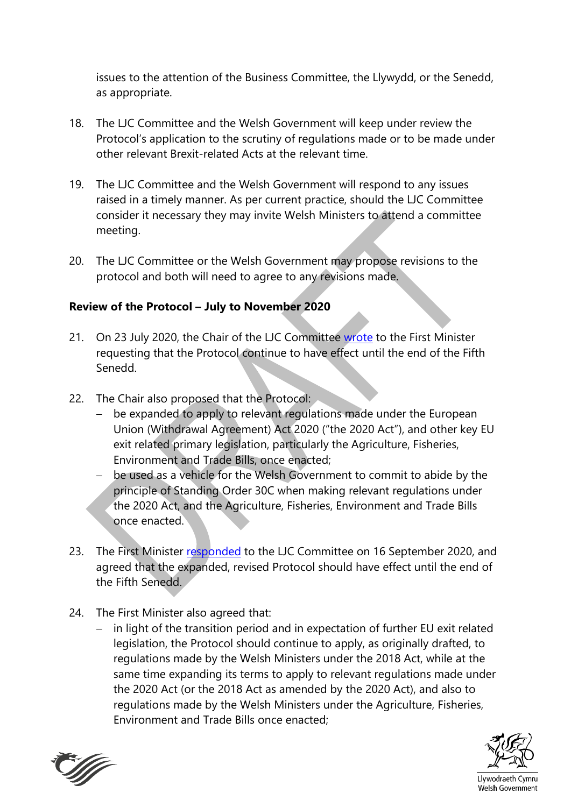issues to the attention of the Business Committee, the Llywydd, or the Senedd, as appropriate.

- 18. The LJC Committee and the Welsh Government will keep under review the Protocol's application to the scrutiny of regulations made or to be made under other relevant Brexit-related Acts at the relevant time.
- 19. The LJC Committee and the Welsh Government will respond to any issues raised in a timely manner. As per current practice, should the LJC Committee consider it necessary they may invite Welsh Ministers to attend a committee meeting.
- 20. The LJC Committee or the Welsh Government may propose revisions to the protocol and both will need to agree to any revisions made.

## **Review of the Protocol – July to November 2020**

- 21. On 23 July 2020, the Chair of the LJC Committee [wrote](https://business.senedd.wales/documents/s104803/Letter%20to%20the%20First%20Minister%20Scrutiny%20of%20regulations%20arising%20from%20the%20UKs%20exit%20from%20the%20European%20U.pdf) to the First Minister requesting that the Protocol continue to have effect until the end of the Fifth Senedd.
- 22. The Chair also proposed that the Protocol:
	- − be expanded to apply to relevant regulations made under the European Union (Withdrawal Agreement) Act 2020 ("the 2020 Act"), and other key EU exit related primary legislation, particularly the Agriculture, Fisheries, Environment and Trade Bills, once enacted;
	- be used as a vehicle for the Welsh Government to commit to abide by the principle of Standing Order 30C when making relevant regulations under the 2020 Act, and the Agriculture, Fisheries, Environment and Trade Bills once enacted.
- 23. The First Minister [responded](https://business.senedd.wales/documents/s104805/Letter%20from%20the%20First%20Minister%20Scrutiny%20of%20regulations%20arising%20from%20the%20UKs%20exit%20from%20the%20European.pdf) to the LJC Committee on 16 September 2020, and agreed that the expanded, revised Protocol should have effect until the end of the Fifth Senedd.
- 24. The First Minister also agreed that:
	- − in light of the transition period and in expectation of further EU exit related legislation, the Protocol should continue to apply, as originally drafted, to regulations made by the Welsh Ministers under the 2018 Act, while at the same time expanding its terms to apply to relevant regulations made under the 2020 Act (or the 2018 Act as amended by the 2020 Act), and also to regulations made by the Welsh Ministers under the Agriculture, Fisheries, Environment and Trade Bills once enacted;